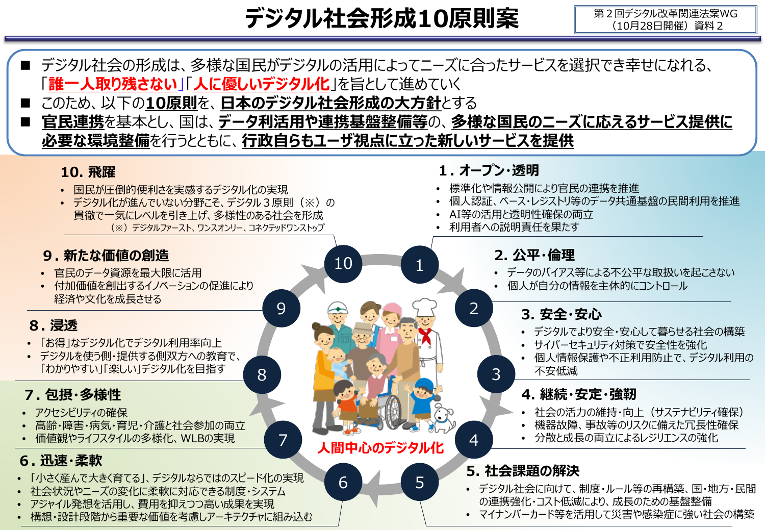**デジタル社会形成10原則案**

第2回デジタル改革関連法案WG (10月28日開催)資料2

■ デジタル社会の形成は、多様な国民がデジタルの活用によってニーズに合ったサービスを選択でき幸せになれる、 「**誰一人取り残さない**」「**人に優しいデジタル化**」を旨として進めていく ■ このため、以下の10原則を、日本のデジタル社会形成の大方針とする

6

10

\_\_<br>7 **人間中心のデジタル化** <sup>4</sup>

5

1

 **官民連携**を基本とし、国は、**データ利活用や連携基盤整備等**の、**多様な国民のニーズに応えるサービス提供に 必要な環境整備**を行うとともに、**行政自らもユーザ視点に立った新しいサービスを提供**

#### **10. 飛躍**

- 国民が圧倒的便利さを実感するデジタル化の実現
- デジタル化が進んでいない分野こそ、デジタル3原則(※)の 貫徹で一気にレベルを引き上げ、多様性のある社会を形成 (※)デジタルファースト、ワンスオンリー、コネクテッドワンストップ

8

9

## **9. 新たな価値の創造**

- 官民のデータ資源を最大限に活用
- 付加価値を創出するイノベーションの促進により 経済や文化を成長させる

# **8. 浸透**

- 「お得」なデジタル化でデジタル利用率向上
- デジタルを使う側・提供する側双方への教育で、 「わかりやすい」「楽しい」デジタル化を目指す

#### **7. 包摂・多様性**

- アクセシビリティの確保
- 高齢・障害・病気・育児・介護と社会参加の両立
- 価値観やライフスタイルの多様化、WLBの実現

## **6. 迅速・柔軟**

- 「小さく産んで大きく育てる」、デジタルならではのスピード化の実現
- 社会状況やニーズの変化に柔軟に対応できる制度・システム
- アジャイル発想を活用し、費用を抑えつつ高い成果を実現
- 構想・設計段階から重要な価値を考慮しアーキテクチャに組み込む
- **1. オープン・透明**
- 標準化や情報公開により官民の連携を推進
- 個人認証、ベース・レジストリ等のデータ共通基盤の民間利用を推進
- AI等の活用と透明性確保の両立
- 利用者への説明責任を果たす

3

2

## **2. 公平・倫理**

- データのバイアス等による不公平な取扱いを起こさない
- 個人が自分の情報を主体的にコントロール

## **3. 安全・安心**

- デジタルでより安全・安心して暮らせる社会の構築
- サイバーセキュリティ対策で安全性を強化
- 個人情報保護や不正利用防止で、デジタル利用の 不安低減

#### **4. 継続・安定・強靭**

- 社会の活力の維持・向上 (サステナビリティ確保)
- 機器故障、事故等のリスクに備えた冗長性確保
- 分散と成長の両立によるレジリエンスの強化

## **5. 社会課題の解決**

- デジタル社会に向けて、制度・ルール等の再構築、国・地方・民間 の連携強化・コスト低減により、成長のための基盤整備
- マイナンバーカード等を活用して災害や感染症に強い社会の構築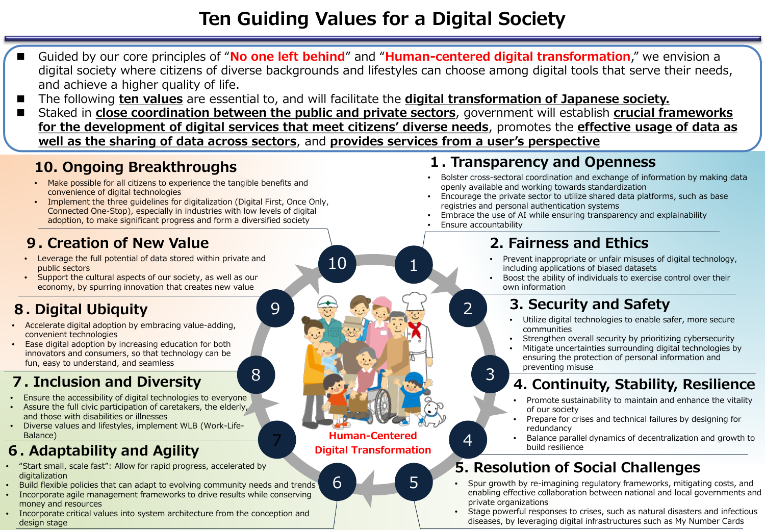# **Ten Guiding Values for a Digital Society**

- Guided by our core principles of "**No one left behind**" and "**Human-centered digital transformation**," we envision a digital society where citizens of diverse backgrounds and lifestyles can choose among digital tools that serve their needs, and achieve a higher quality of life.
- The following **ten values** are essential to, and will facilitate the **digital transformation of Japanese society.**

10

6

7 4 **Digital Transformation**

**Human-Centered**

8

9

5

1

 Staked in **close coordination between the public and private sectors**, government will establish **crucial frameworks for the development of digital services that meet citizens' diverse needs**, promotes the **effective usage of data as well as the sharing of data across sectors**, and **provides services from a user's perspective**

### **10. Ongoing Breakthroughs**

- Make possible for all citizens to experience the tangible benefits and convenience of digital technologies
- Implement the three guidelines for digitalization (Digital First, Once Only, Connected One-Stop), especially in industries with low levels of digital adoption, to make significant progress and form a diversified society

## **9. Creation of New Value**

- Leverage the full potential of data stored within private and public sectors
- Support the cultural aspects of our society, as well as our economy, by spurring innovation that creates new value

# **8. Digital Ubiquity**

- Accelerate digital adoption by embracing value-adding, convenient technologies
- Ease digital adoption by increasing education for both innovators and consumers, so that technology can be fun, easy to understand, and seamless

# **7. Inclusion and Diversity**

- Ensure the accessibility of digital technologies to everyone
- Assure the full civic participation of caretakers, the elderly, and those with disabilities or illnesses
- Diverse values and lifestyles, implement WLB (Work-Life-Balance)

# **6. Adaptability and Agility**

- "Start small, scale fast": Allow for rapid progress, accelerated by digitalization
- Build flexible policies that can adapt to evolving community needs and trends
- Incorporate agile management frameworks to drive results while conserving money and resources
- Incorporate critical values into system architecture from the conception and design stage

#### **1. Transparency and Openness**

- Bolster cross-sectoral coordination and exchange of information by making data openly available and working towards standardization
- Encourage the private sector to utilize shared data platforms, such as base registries and personal authentication systems
- Embrace the use of AI while ensuring transparency and explainability
- Ensure accountability

2

3

## **2. Fairness and Ethics**

- Prevent inappropriate or unfair misuses of digital technology, including applications of biased datasets
- Boost the ability of individuals to exercise control over their own information

# **3. Security and Safety**

- Utilize digital technologies to enable safer, more secure communities
- Strengthen overall security by prioritizing cybersecurity
- Mitigate uncertainties surrounding digital technologies by ensuring the protection of personal information and preventing misuse

# **4. Continuity, Stability, Resilience**

- Promote sustainability to maintain and enhance the vitality of our society
- Prepare for crises and technical failures by designing for redundancy
- Balance parallel dynamics of decentralization and growth to build resilience

# **5. Resolution of Social Challenges**

- Spur growth by re-imagining regulatory frameworks, mitigating costs, and enabling effective collaboration between national and local governments and private organizations
- Stage powerful responses to crises, such as natural disasters and infectious diseases, by leveraging digital infrastructures such as My Number Cards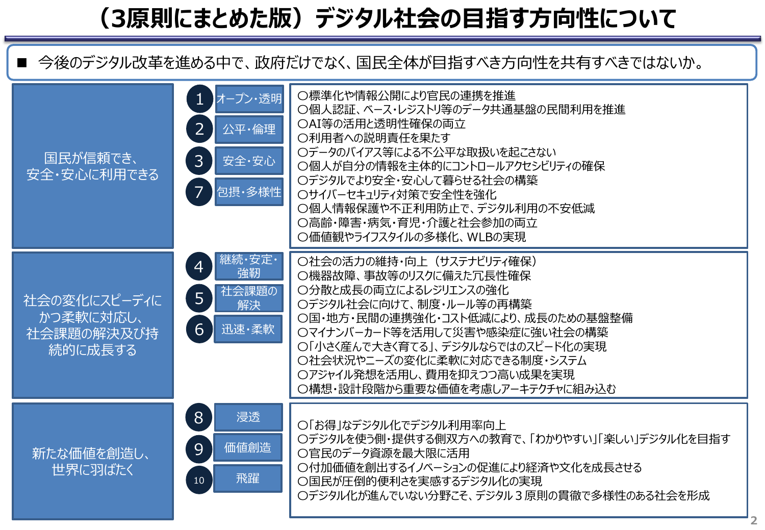# **(3原則にまとめた版)デジタル社会の目指す方向性について**

■ 今後のデジタル改革を進める中で、政府だけでなく、国民全体が目指すべき方向性を共有すべきではないか。